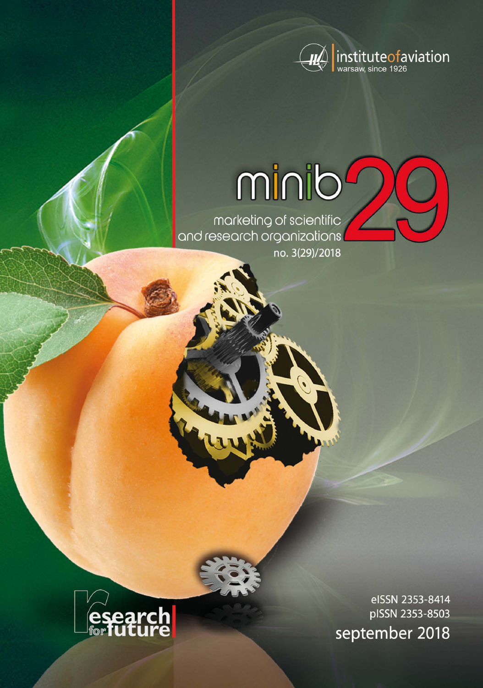

# minib

marketing of scientific<br>and research organizations no. 3(29)/2018



elSSN 2353-8414 pISSN 2353-8503 september 2018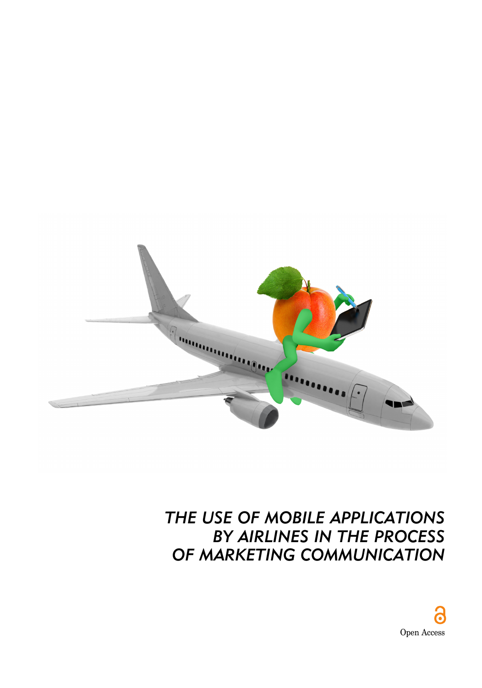

## *THE USE OF MOBILE APPLICATIONS BY AIRLINES IN THE PROCESS OF MARKETING COMMUNICATION*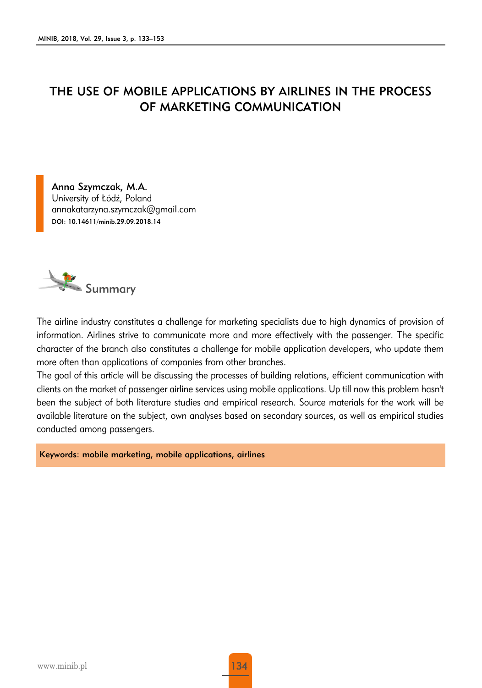#### THE USE OF MOBILE APPLICATIONS BY AIRLINES IN THE PROCESS OF MARKETING COMMUNICATION

Anna Szymczak, M.A. University of Łódź, Poland annakatarzyna.szymczak@gmail.com DOI: 10.14611/minib.29.09.2018.14



The airline industry constitutes a challenge for marketing specialists due to high dynamics of provision of information. Airlines strive to communicate more and more effectively with the passenger. The specific character of the branch also constitutes a challenge for mobile application developers, who update them more often than applications of companies from other branches.

The goal of this article will be discussing the processes of building relations, efficient communication with clients on the market of passenger airline services using mobile applications. Up till now this problem hasn't been the subject of both literature studies and empirical research. Source materials for the work will be available literature on the subject, own analyses based on secondary sources, as well as empirical studies conducted among passengers.

Keywords: mobile marketing, mobile applications, airlines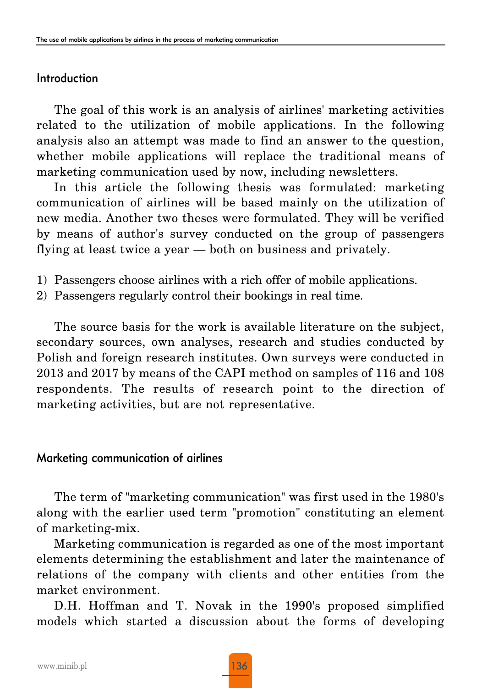#### Introduction

The goal of this work is an analysis of airlines' marketing activities related to the utilization of mobile applications. In the following analysis also an attempt was made to find an answer to the question, whether mobile applications will replace the traditional means of marketing communication used by now, including newsletters.

In this article the following thesis was formulated: marketing communication of airlines will be based mainly on the utilization of new media. Another two theses were formulated. They will be verified by means of author's survey conducted on the group of passengers flying at least twice a year — both on business and privately.

- 1) Passengers choose airlines with a rich offer of mobile applications.
- 2) Passengers regularly control their bookings in real time.

The source basis for the work is available literature on the subject, secondary sources, own analyses, research and studies conducted by Polish and foreign research institutes. Own surveys were conducted in 2013 and 2017 by means of the CAPI method on samples of 116 and 108 respondents. The results of research point to the direction of marketing activities, but are not representative.

#### Marketing communication of airlines

The term of "marketing communication" was first used in the 1980's along with the earlier used term "promotion" constituting an element of marketing-mix.

Marketing communication is regarded as one of the most important elements determining the establishment and later the maintenance of relations of the company with clients and other entities from the market environment.

D.H. Hoffman and T. Novak in the 1990's proposed simplified models which started a discussion about the forms of developing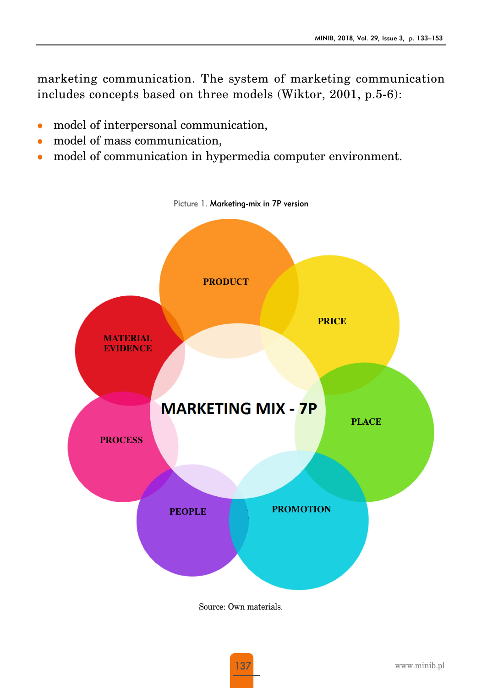marketing communication. The system of marketing communication includes concepts based on three models (Wiktor, 2001, p.5-6):

- model of interpersonal communication,
- model of mass communication,
- model of communication in hypermedia computer environment.



Source: Own materials.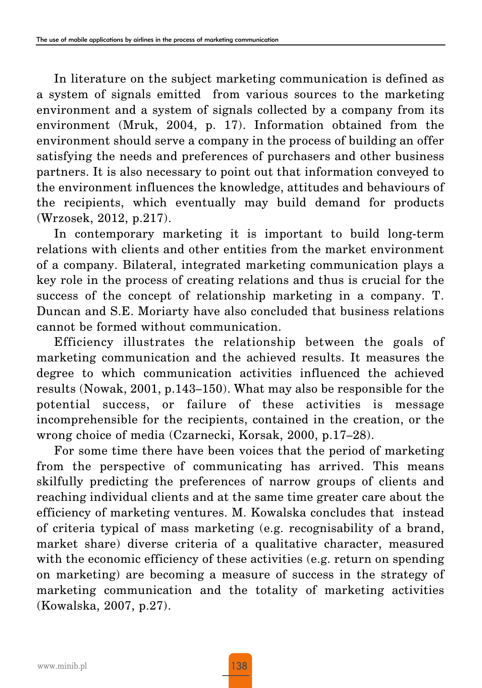In literature on the subject marketing communication is defined as a system of signals emitted from various sources to the marketing environment and a system of signals collected by a company from its environment (Mruk, 2004, p. 17). Information obtained from the environment should serve a company in the process of building an offer satisfying the needs and preferences of purchasers and other business partners. It is also necessary to point out that information conveyed to the environment influences the knowledge, attitudes and behaviours of the recipients, which eventually may build demand for products (Wrzosek, 2012, p.217).

In contemporary marketing it is important to build long-term relations with clients and other entities from the market environment of a company. Bilateral, integrated marketing communication plays a key role in the process of creating relations and thus is crucial for the success of the concept of relationship marketing in a company. T. Duncan and S.E. Moriarty have also concluded that business relations cannot be formed without communication.

Efficiency illustrates the relationship between the goals of marketing communication and the achieved results. It measures the degree to which communication activities influenced the achieved results (Nowak, 2001, p.143–150). What may also be responsible for the potential success, or failure of these activities is message incomprehensible for the recipients, contained in the creation, or the wrong choice of media (Czarnecki, Korsak, 2000, p.17–28).

For some time there have been voices that the period of marketing from the perspective of communicating has arrived. This means skilfully predicting the preferences of narrow groups of clients and reaching individual clients and at the same time greater care about the efficiency of marketing ventures. M. Kowalska concludes that instead of criteria typical of mass marketing (e.g. recognisability of a brand, market share) diverse criteria of a qualitative character, measured with the economic efficiency of these activities (e.g. return on spending on marketing) are becoming a measure of success in the strategy of marketing communication and the totality of marketing activities (Kowalska, 2007, p.27).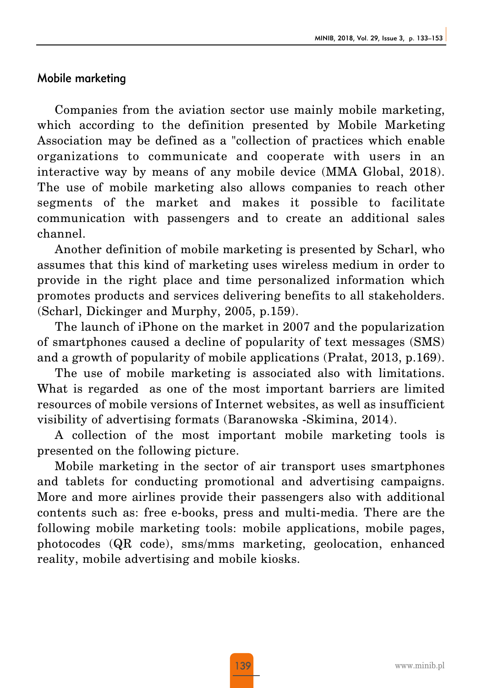#### Mobile marketing

Companies from the aviation sector use mainly mobile marketing, which according to the definition presented by Mobile Marketing Association may be defined as a "collection of practices which enable organizations to communicate and cooperate with users in an interactive way by means of any mobile device (MMA Global, 2018). The use of mobile marketing also allows companies to reach other segments of the market and makes it possible to facilitate communication with passengers and to create an additional sales channel.

Another definition of mobile marketing is presented by Scharl, who assumes that this kind of marketing uses wireless medium in order to provide in the right place and time personalized information which promotes products and services delivering benefits to all stakeholders. (Scharl, Dickinger and Murphy, 2005, p.159).

The launch of iPhone on the market in 2007 and the popularization of smartphones caused a decline of popularity of text messages (SMS) and a growth of popularity of mobile applications (Prałat, 2013, p.169).

The use of mobile marketing is associated also with limitations. What is regarded as one of the most important barriers are limited resources of mobile versions of Internet websites, as well as insufficient visibility of advertising formats (Baranowska -Skimina, 2014).

A collection of the most important mobile marketing tools is presented on the following picture.

Mobile marketing in the sector of air transport uses smartphones and tablets for conducting promotional and advertising campaigns. More and more airlines provide their passengers also with additional contents such as: free e-books, press and multi-media. There are the following mobile marketing tools: mobile applications, mobile pages, photocodes (QR code), sms/mms marketing, geolocation, enhanced reality, mobile advertising and mobile kiosks.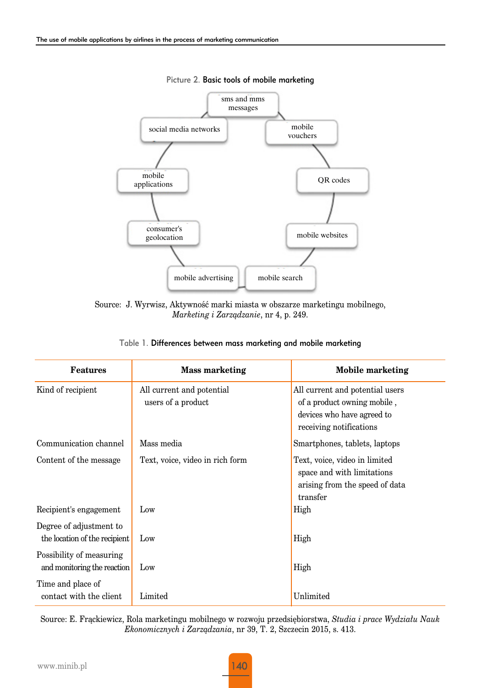

#### Picture 2. Basic tools of mobile marketing

Source: J. Wyrwisz, Aktywność marki miasta w obszarze marketingu mobilnego, *Marketing i Zarządzanie*, nr 4, p. 249.

| Table 1. Differences between mass marketing and mobile marketing |  |
|------------------------------------------------------------------|--|
|------------------------------------------------------------------|--|

| <b>Features</b>                                          | <b>Mass marketing</b>                           | Mobile marketing                                                                                                        |
|----------------------------------------------------------|-------------------------------------------------|-------------------------------------------------------------------------------------------------------------------------|
| Kind of recipient                                        | All current and potential<br>users of a product | All current and potential users<br>of a product owning mobile,<br>devices who have agreed to<br>receiving notifications |
| Communication channel                                    | Mass media                                      | Smartphones, tablets, laptops                                                                                           |
| Content of the message                                   | Text, voice, video in rich form                 | Text, voice, video in limited<br>space and with limitations<br>arising from the speed of data<br>transfer               |
| Recipient's engagement                                   | Low                                             | High                                                                                                                    |
| Degree of adjustment to<br>the location of the recipient | Low                                             | High                                                                                                                    |
| Possibility of measuring<br>and monitoring the reaction  | Low                                             | High                                                                                                                    |
| Time and place of<br>contact with the client             | Limited                                         | Unlimited                                                                                                               |

Source: E. Frąckiewicz, Rola marketingu mobilnego w rozwoju przedsiębiorstwa, *Studia i prace Wydziału Nauk Ekonomicznych i Zarządzania*, nr 39, T. 2, Szczecin 2015, s. 413.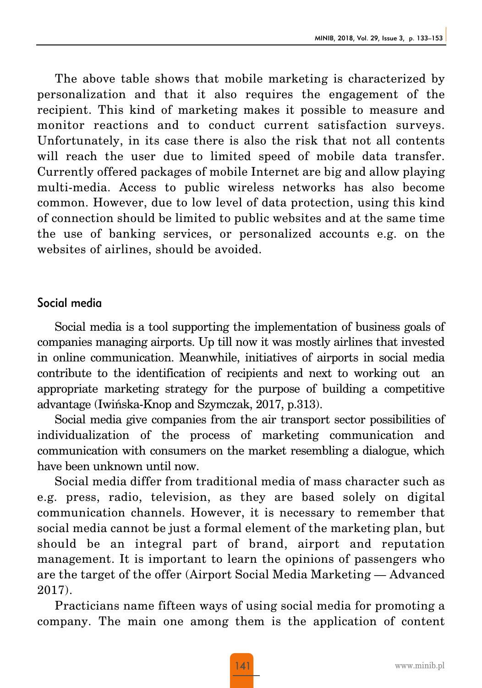The above table shows that mobile marketing is characterized by personalization and that it also requires the engagement of the recipient. This kind of marketing makes it possible to measure and monitor reactions and to conduct current satisfaction surveys. Unfortunately, in its case there is also the risk that not all contents will reach the user due to limited speed of mobile data transfer. Currently offered packages of mobile Internet are big and allow playing multi-media. Access to public wireless networks has also become common. However, due to low level of data protection, using this kind of connection should be limited to public websites and at the same time the use of banking services, or personalized accounts e.g. on the websites of airlines, should be avoided.

#### Social media

Social media is a tool supporting the implementation of business goals of companies managing airports. Up till now it was mostly airlines that invested in online communication. Meanwhile, initiatives of airports in social media contribute to the identification of recipients and next to working out an appropriate marketing strategy for the purpose of building a competitive advantage (Iwińska-Knop and Szymczak, 2017, p.313).

Social media give companies from the air transport sector possibilities of individualization of the process of marketing communication and communication with consumers on the market resembling a dialogue, which have been unknown until now.

Social media differ from traditional media of mass character such as e.g. press, radio, television, as they are based solely on digital communication channels. However, it is necessary to remember that social media cannot be just a formal element of the marketing plan, but should be an integral part of brand, airport and reputation management. It is important to learn the opinions of passengers who are the target of the offer (Airport Social Media Marketing — Advanced 2017).

Practicians name fifteen ways of using social media for promoting a company. The main one among them is the application of content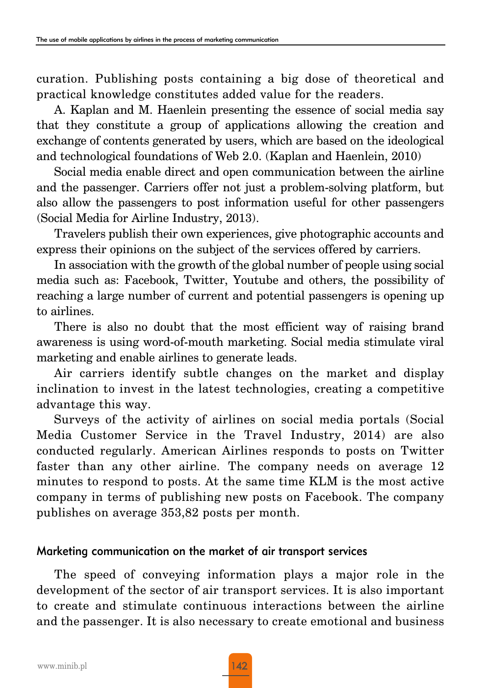curation. Publishing posts containing a big dose of theoretical and practical knowledge constitutes added value for the readers.

A. Kaplan and M. Haenlein presenting the essence of social media say that they constitute a group of applications allowing the creation and exchange of contents generated by users, which are based on the ideological and technological foundations of Web 2.0. (Kaplan and Haenlein, 2010)

Social media enable direct and open communication between the airline and the passenger. Carriers offer not just a problem-solving platform, but also allow the passengers to post information useful for other passengers (Social Media for Airline Industry, 2013).

Travelers publish their own experiences, give photographic accounts and express their opinions on the subject of the services offered by carriers.

In association with the growth of the global number of people using social media such as: Facebook, Twitter, Youtube and others, the possibility of reaching a large number of current and potential passengers is opening up to airlines.

There is also no doubt that the most efficient way of raising brand awareness is using word-of-mouth marketing. Social media stimulate viral marketing and enable airlines to generate leads.

Air carriers identify subtle changes on the market and display inclination to invest in the latest technologies, creating a competitive advantage this way.

Surveys of the activity of airlines on social media portals (Social Media Customer Service in the Travel Industry, 2014) are also conducted regularly. American Airlines responds to posts on Twitter faster than any other airline. The company needs on average 12 minutes to respond to posts. At the same time KLM is the most active company in terms of publishing new posts on Facebook. The company publishes on average 353,82 posts per month.

#### Marketing communication on the market of air transport services

The speed of conveying information plays a major role in the development of the sector of air transport services. It is also important to create and stimulate continuous interactions between the airline and the passenger. It is also necessary to create emotional and business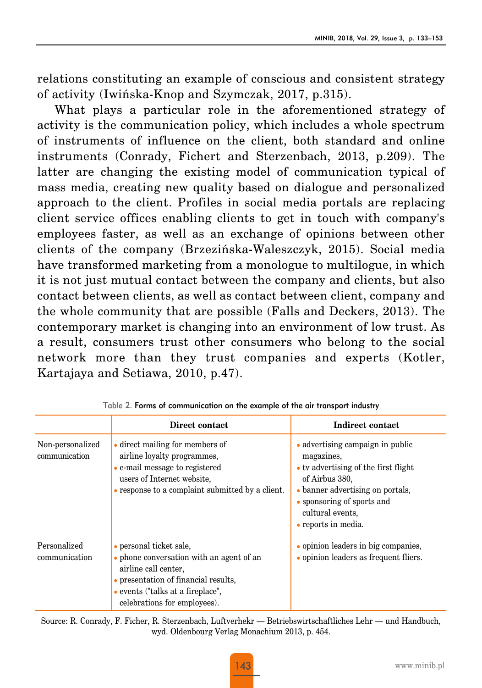relations constituting an example of conscious and consistent strategy of activity (Iwińska-Knop and Szymczak, 2017, p.315).

What plays a particular role in the aforementioned strategy of activity is the communication policy, which includes a whole spectrum of instruments of influence on the client, both standard and online instruments (Conrady, Fichert and Sterzenbach, 2013, p.209). The latter are changing the existing model of communication typical of mass media, creating new quality based on dialogue and personalized approach to the client. Profiles in social media portals are replacing client service offices enabling clients to get in touch with company's employees faster, as well as an exchange of opinions between other clients of the company (Brzezińska-Waleszczyk, 2015). Social media have transformed marketing from a monologue to multilogue, in which it is not just mutual contact between the company and clients, but also contact between clients, as well as contact between client, company and the whole community that are possible (Falls and Deckers, 2013). The contemporary market is changing into an environment of low trust. As a result, consumers trust other consumers who belong to the social network more than they trust companies and experts (Kotler, Kartajaya and Setiawa, 2010, p.47).

|                                   | Direct contact                                                                                                                                                                                           | Indirect contact                                                                                                                                                                                                      |
|-----------------------------------|----------------------------------------------------------------------------------------------------------------------------------------------------------------------------------------------------------|-----------------------------------------------------------------------------------------------------------------------------------------------------------------------------------------------------------------------|
| Non-personalized<br>communication | direct mailing for members of<br>airline loyalty programmes,<br>• e-mail message to registered<br>users of Internet website.<br>• response to a complaint submitted by a client.                         | • advertising campaign in public<br>magazines,<br>• tv advertising of the first flight<br>of Airbus 380,<br>• banner advertising on portals,<br>• sponsoring of sports and<br>cultural events,<br>• reports in media. |
| Personalized<br>communication     | • personal ticket sale,<br>• phone conversation with an agent of an<br>airline call center,<br>• presentation of financial results,<br>• events ("talks at a fireplace",<br>celebrations for employees). | • opinion leaders in big companies,<br>• opinion leaders as frequent fliers.                                                                                                                                          |

Table 2. Forms of communication on the example of the air transport industry

Source: R. Conrady, F. Ficher, R. Sterzenbach, Luftverhekr — Betriebswirtschaftliches Lehr — und Handbuch, wyd. Oldenbourg Verlag Monachium 2013, p. 454.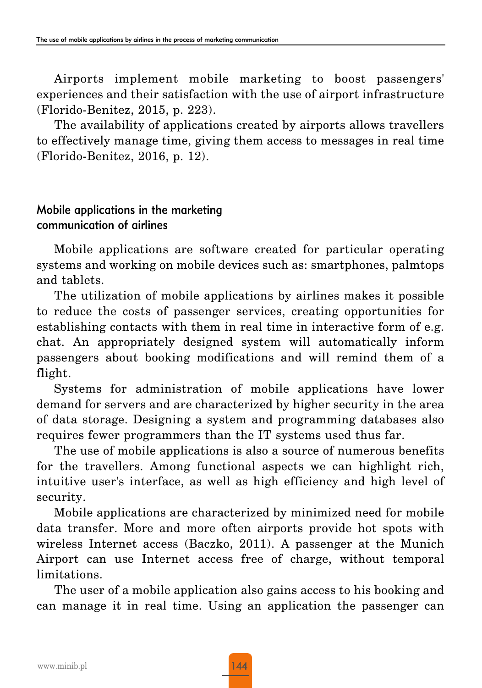Airports implement mobile marketing to boost passengers' experiences and their satisfaction with the use of airport infrastructure (Florido-Benitez, 2015, p. 223).

The availability of applications created by airports allows travellers to effectively manage time, giving them access to messages in real time (Florido-Benitez, 2016, p. 12).

#### Mobile applications in the marketing communication of airlines

Mobile applications are software created for particular operating systems and working on mobile devices such as: smartphones, palmtops and tablets.

The utilization of mobile applications by airlines makes it possible to reduce the costs of passenger services, creating opportunities for establishing contacts with them in real time in interactive form of e.g. chat. An appropriately designed system will automatically inform passengers about booking modifications and will remind them of a flight.

Systems for administration of mobile applications have lower demand for servers and are characterized by higher security in the area of data storage. Designing a system and programming databases also requires fewer programmers than the IT systems used thus far.

The use of mobile applications is also a source of numerous benefits for the travellers. Among functional aspects we can highlight rich, intuitive user's interface, as well as high efficiency and high level of security.

Mobile applications are characterized by minimized need for mobile data transfer. More and more often airports provide hot spots with wireless Internet access (Baczko, 2011). A passenger at the Munich Airport can use Internet access free of charge, without temporal limitations.

The user of a mobile application also gains access to his booking and can manage it in real time. Using an application the passenger can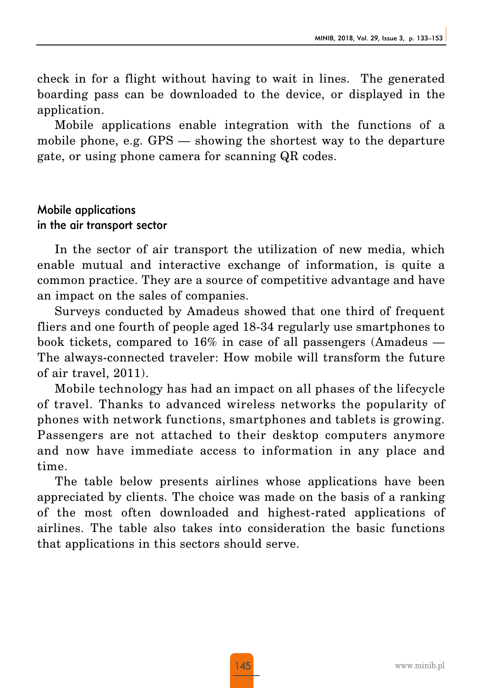check in for a flight without having to wait in lines. The generated boarding pass can be downloaded to the device, or displayed in the application.

Mobile applications enable integration with the functions of a mobile phone, e.g. GPS — showing the shortest way to the departure gate, or using phone camera for scanning QR codes.

#### Mobile applications in the air transport sector

In the sector of air transport the utilization of new media, which enable mutual and interactive exchange of information, is quite a common practice. They are a source of competitive advantage and have an impact on the sales of companies.

Surveys conducted by Amadeus showed that one third of frequent fliers and one fourth of people aged 18-34 regularly use smartphones to book tickets, compared to 16% in case of all passengers (Amadeus — The always-connected traveler: How mobile will transform the future of air travel, 2011).

Mobile technology has had an impact on all phases of the lifecycle of travel. Thanks to advanced wireless networks the popularity of phones with network functions, smartphones and tablets is growing. Passengers are not attached to their desktop computers anymore and now have immediate access to information in any place and time.

The table below presents airlines whose applications have been appreciated by clients. The choice was made on the basis of a ranking of the most often downloaded and highest-rated applications of airlines. The table also takes into consideration the basic functions that applications in this sectors should serve.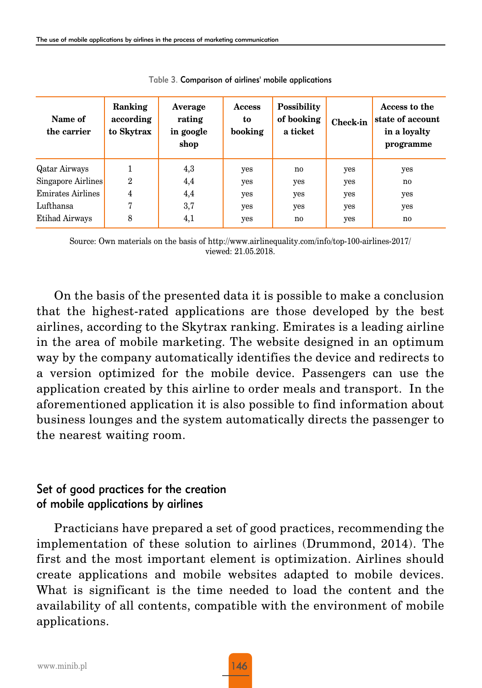| Name of<br>the carrier | Ranking<br>according<br>to Skytrax | Average<br>rating<br>in google<br>shop | Access<br>to<br>booking | <b>Possibility</b><br>of booking<br>a ticket | Check-in | Access to the<br>state of account<br>in a loyalty<br>programme |
|------------------------|------------------------------------|----------------------------------------|-------------------------|----------------------------------------------|----------|----------------------------------------------------------------|
| Qatar Airways          |                                    | 4,3                                    | yes                     | n0                                           | yes      | yes                                                            |
| Singapore Airlines     | $\overline{2}$                     | 4,4                                    | yes                     | yes                                          | yes      | no                                                             |
| Emirates Airlines      | 4                                  | 4,4                                    | yes                     | yes                                          | yes      | yes                                                            |
| Lufthansa              |                                    | 3,7                                    | yes                     | yes                                          | yes      | yes                                                            |
| Etihad Airways         | 8                                  | 4,1                                    | yes                     | n0                                           | yes      | no                                                             |

Table 3. Comparison of airlines' mobile applications

Source: Own materials on the basis of http://www.airlinequality.com/info/top-100-airlines-2017/ viewed: 21.05.2018.

On the basis of the presented data it is possible to make a conclusion that the highest-rated applications are those developed by the best airlines, according to the Skytrax ranking. Emirates is a leading airline in the area of mobile marketing. The website designed in an optimum way by the company automatically identifies the device and redirects to a version optimized for the mobile device. Passengers can use the application created by this airline to order meals and transport. In the aforementioned application it is also possible to find information about business lounges and the system automatically directs the passenger to the nearest waiting room.

#### Set of good practices for the creation of mobile applications by airlines

Practicians have prepared a set of good practices, recommending the implementation of these solution to airlines (Drummond, 2014). The first and the most important element is optimization. Airlines should create applications and mobile websites adapted to mobile devices. What is significant is the time needed to load the content and the availability of all contents, compatible with the environment of mobile applications.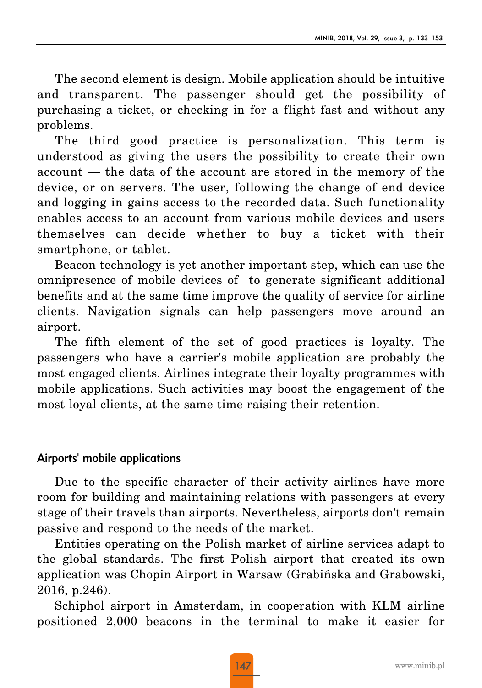The second element is design. Mobile application should be intuitive and transparent. The passenger should get the possibility of purchasing a ticket, or checking in for a flight fast and without any problems.

The third good practice is personalization. This term is understood as giving the users the possibility to create their own account — the data of the account are stored in the memory of the device, or on servers. The user, following the change of end device and logging in gains access to the recorded data. Such functionality enables access to an account from various mobile devices and users themselves can decide whether to buy a ticket with their smartphone, or tablet.

Beacon technology is yet another important step, which can use the omnipresence of mobile devices of to generate significant additional benefits and at the same time improve the quality of service for airline clients. Navigation signals can help passengers move around an airport.

The fifth element of the set of good practices is loyalty. The passengers who have a carrier's mobile application are probably the most engaged clients. Airlines integrate their loyalty programmes with mobile applications. Such activities may boost the engagement of the most loyal clients, at the same time raising their retention.

### Airports' mobile applications

Due to the specific character of their activity airlines have more room for building and maintaining relations with passengers at every stage of their travels than airports. Nevertheless, airports don't remain passive and respond to the needs of the market.

Entities operating on the Polish market of airline services adapt to the global standards. The first Polish airport that created its own application was Chopin Airport in Warsaw (Grabińska and Grabowski, 2016, p.246).

Schiphol airport in Amsterdam, in cooperation with KLM airline positioned 2,000 beacons in the terminal to make it easier for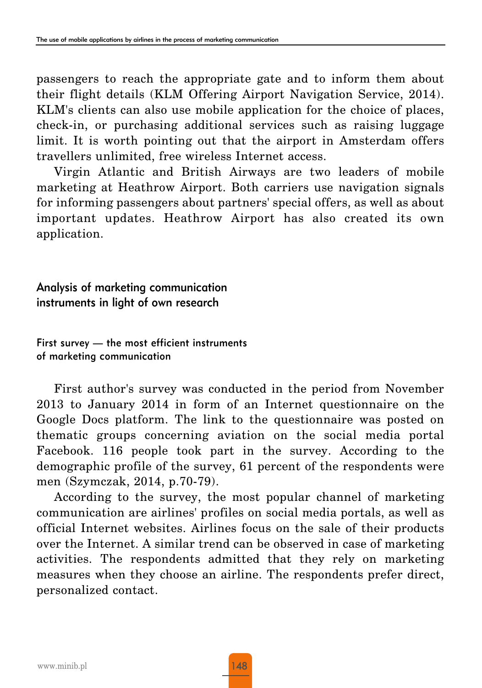passengers to reach the appropriate gate and to inform them about their flight details (KLM Offering Airport Navigation Service, 2014). KLM's clients can also use mobile application for the choice of places, check-in, or purchasing additional services such as raising luggage limit. It is worth pointing out that the airport in Amsterdam offers travellers unlimited, free wireless Internet access.

Virgin Atlantic and British Airways are two leaders of mobile marketing at Heathrow Airport. Both carriers use navigation signals for informing passengers about partners' special offers, as well as about important updates. Heathrow Airport has also created its own application.

#### Analysis of marketing communication instruments in light of own research

First survey — the most efficient instruments of marketing communication

First author's survey was conducted in the period from November 2013 to January 2014 in form of an Internet questionnaire on the Google Docs platform. The link to the questionnaire was posted on thematic groups concerning aviation on the social media portal Facebook. 116 people took part in the survey. According to the demographic profile of the survey, 61 percent of the respondents were men (Szymczak, 2014, p.70-79).

According to the survey, the most popular channel of marketing communication are airlines' profiles on social media portals, as well as official Internet websites. Airlines focus on the sale of their products over the Internet. A similar trend can be observed in case of marketing activities. The respondents admitted that they rely on marketing measures when they choose an airline. The respondents prefer direct, personalized contact.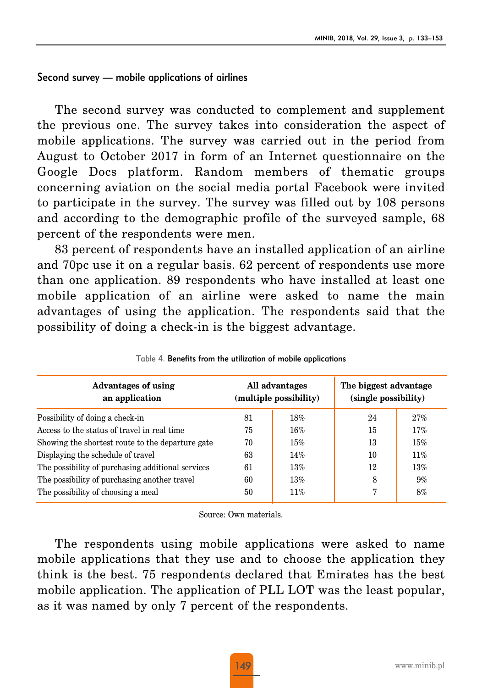#### Second survey — mobile applications of airlines

The second survey was conducted to complement and supplement the previous one. The survey takes into consideration the aspect of mobile applications. The survey was carried out in the period from August to October 2017 in form of an Internet questionnaire on the Google Docs platform. Random members of thematic groups concerning aviation on the social media portal Facebook were invited to participate in the survey. The survey was filled out by 108 persons and according to the demographic profile of the surveyed sample, 68 percent of the respondents were men.

83 percent of respondents have an installed application of an airline and 70pc use it on a regular basis. 62 percent of respondents use more than one application. 89 respondents who have installed at least one mobile application of an airline were asked to name the main advantages of using the application. The respondents said that the possibility of doing a check-in is the biggest advantage.

| <b>Advantages of using</b><br>an application      | All advantages<br>(multiple possibility) |     | The biggest advantage<br>(single possibility) |     |
|---------------------------------------------------|------------------------------------------|-----|-----------------------------------------------|-----|
| Possibility of doing a check-in                   | 81                                       | 18% | 24                                            | 27% |
| Access to the status of travel in real time       | 75                                       | 16% | 15                                            | 17% |
| Showing the shortest route to the departure gate  | 70                                       | 15% | 13                                            | 15% |
| Displaying the schedule of travel                 | 63                                       | 14% | 10                                            | 11% |
| The possibility of purchasing additional services | 61                                       | 13% | 12                                            | 13% |
| The possibility of purchasing another travel      | 60                                       | 13% | 8                                             | 9%  |
| The possibility of choosing a meal                | 50                                       | 11% | 7                                             | 8%  |

Source: Own materials.

The respondents using mobile applications were asked to name mobile applications that they use and to choose the application they think is the best. 75 respondents declared that Emirates has the best mobile application. The application of PLL LOT was the least popular, as it was named by only 7 percent of the respondents.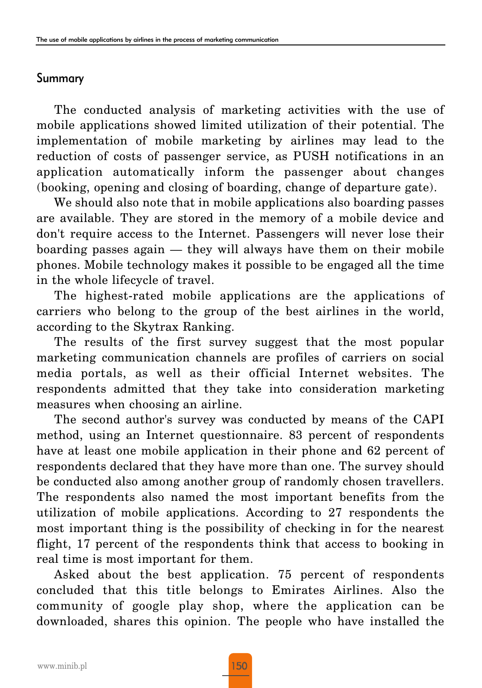#### Summary

The conducted analysis of marketing activities with the use of mobile applications showed limited utilization of their potential. The implementation of mobile marketing by airlines may lead to the reduction of costs of passenger service, as PUSH notifications in an application automatically inform the passenger about changes (booking, opening and closing of boarding, change of departure gate).

We should also note that in mobile applications also boarding passes are available. They are stored in the memory of a mobile device and don't require access to the Internet. Passengers will never lose their boarding passes again — they will always have them on their mobile phones. Mobile technology makes it possible to be engaged all the time in the whole lifecycle of travel.

The highest-rated mobile applications are the applications of carriers who belong to the group of the best airlines in the world, according to the Skytrax Ranking.

The results of the first survey suggest that the most popular marketing communication channels are profiles of carriers on social media portals, as well as their official Internet websites. The respondents admitted that they take into consideration marketing measures when choosing an airline.

The second author's survey was conducted by means of the CAPI method, using an Internet questionnaire. 83 percent of respondents have at least one mobile application in their phone and 62 percent of respondents declared that they have more than one. The survey should be conducted also among another group of randomly chosen travellers. The respondents also named the most important benefits from the utilization of mobile applications. According to 27 respondents the most important thing is the possibility of checking in for the nearest flight, 17 percent of the respondents think that access to booking in real time is most important for them.

Asked about the best application. 75 percent of respondents concluded that this title belongs to Emirates Airlines. Also the community of google play shop, where the application can be downloaded, shares this opinion. The people who have installed the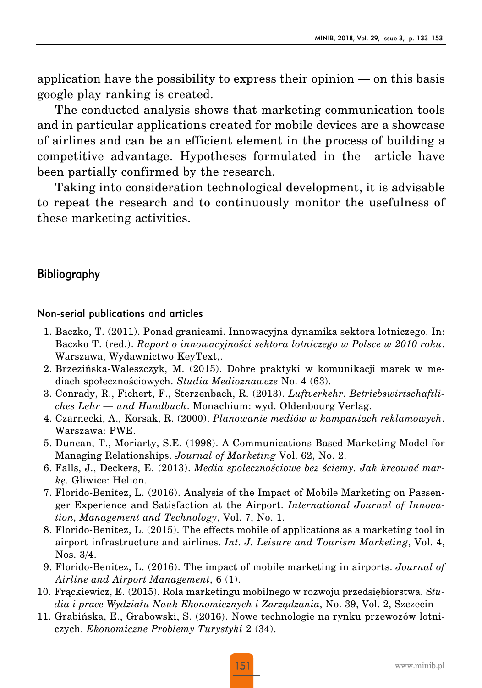application have the possibility to express their opinion — on this basis google play ranking is created.

The conducted analysis shows that marketing communication tools and in particular applications created for mobile devices are a showcase of airlines and can be an efficient element in the process of building a competitive advantage. Hypotheses formulated in the article have been partially confirmed by the research.

Taking into consideration technological development, it is advisable to repeat the research and to continuously monitor the usefulness of these marketing activities.

#### Bibliography

#### Non-serial publications and articles

- 1. Baczko, T. (2011). Ponad granicami. Innowacyjna dynamika sektora lotniczego. In: Baczko T. (red.). *Raport o innowacyjności sektora lotniczego w Polsce w 2010 roku*. Warszawa, Wydawnictwo KeyText,.
- 2. Brzezińska-Waleszczyk, M. (2015). Dobre praktyki w komunikacji marek w mediach społecznościowych. *Studia Medioznawcze* No. 4 (63).
- 3. Conrady, R., Fichert, F., Sterzenbach, R. (2013). *Luftverkehr. Betriebswirtschaftliches Lehr — und Handbuch*. Monachium: wyd. Oldenbourg Verlag.
- 4. Czarnecki, A., Korsak, R. (2000). *Planowanie mediów w kampaniach reklamowych*. Warszawa: PWE.
- 5. Duncan, T., Moriarty, S.E. (1998). A Communications-Based Marketing Model for Managing Relationships. *Journal of Marketing* Vol. 62, No. 2.
- 6. Falls, J., Deckers, E. (2013). *Media społecznościowe bez ściemy. Jak kreować markę*. Gliwice: Helion.
- 7. Florido-Benitez, L. (2016). Analysis of the Impact of Mobile Marketing on Passenger Experience and Satisfaction at the Airport. *International Journal of Innovation, Management and Technology*, Vol. 7, No. 1.
- 8. Florido-Benitez, L. (2015). The effects mobile of applications as a marketing tool in airport infrastructure and airlines. *Int. J. Leisure and Tourism Marketing*, Vol. 4, Nos. 3/4.
- 9. Florido-Benitez, L. (2016). The impact of mobile marketing in airports. *Journal of Airline and Airport Management*, 6 (1).
- 10. Frąckiewicz, E. (2015). Rola marketingu mobilnego w rozwoju przedsiębiorstwa. S*tudia i prace Wydziału Nauk Ekonomicznych i Zarządzania*, No. 39, Vol. 2, Szczecin
- 11. Grabińska, E., Grabowski, S. (2016). Nowe technologie na rynku przewozów lotniczych. *Ekonomiczne Problemy Turystyki* 2 (34).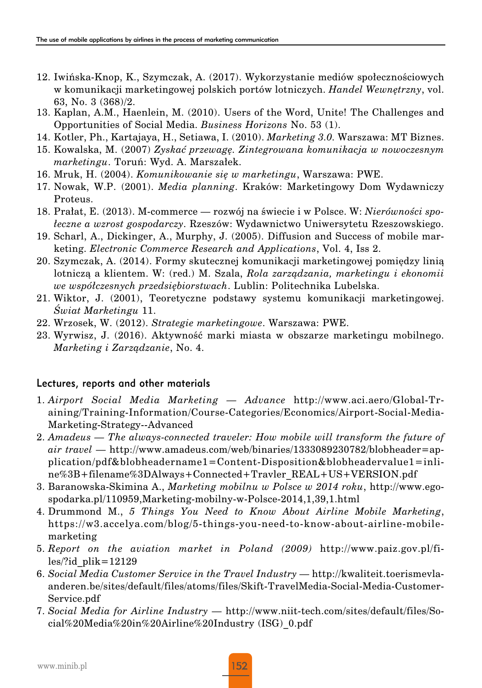- 12. Iwińska-Knop, K., Szymczak, A. (2017). Wykorzystanie mediów społecznościowych w komunikacji marketingowej polskich portów lotniczych. *Handel Wewnętrzny*, vol. 63, No. 3 (368)/2.
- 13. Kaplan, A.M., Haenlein, M. (2010). Users of the Word, Unite! The Challenges and Opportunities of Social Media. *Business Horizons* No. 53 (1).
- 14. Kotler, Ph., Kartajaya, H., Setiawa, I. (2010). *Marketing 3.0.* Warszawa: MT Biznes.
- 15. Kowalska, M. (2007) *Zyskać przewagę. Zintegrowana komunikacja w nowoczesnym marketingu*. Toruń: Wyd. A. Marszałek.
- 16. Mruk, H. (2004). *Komunikowanie się w marketingu*, Warszawa: PWE.
- 17. Nowak, W.P. (2001). *Media planning*. Kraków: Marketingowy Dom Wydawniczy Proteus.
- 18. Prałat, E. (2013). M-commerce rozwój na świecie i w Polsce. W: *Nierówności społeczne a wzrost gospodarczy*. Rzeszów: Wydawnictwo Uniwersytetu Rzeszowskiego.
- 19. Scharl, A., Dickinger, A., Murphy, J. (2005). Diffusion and Success of mobile marketing. *Electronic Commerce Research and Applications*, Vol. 4, Iss 2.
- 20. Szymczak, A. (2014). Formy skutecznej komunikacji marketingowej pomiędzy linią lotniczą a klientem. W: (red.) M. Szala, *Rola zarządzania, marketingu i ekonomii we współczesnych przedsiębiorstwach*. Lublin: Politechnika Lubelska.
- 21. Wiktor, J. (2001), Teoretyczne podstawy systemu komunikacji marketingowej. *Świat Marketingu* 11.
- 22. Wrzosek, W. (2012). *Strategie marketingowe*. Warszawa: PWE.
- 23. Wyrwisz, J. (2016). Aktywność marki miasta w obszarze marketingu mobilnego. *Marketing i Zarządzanie*, No. 4.

#### Lectures, reports and other materials

- 1. *Airport Social Media Marketing Advance* http://www.aci.aero/Global-Training/Training-Information/Course-Categories/Economics/Airport-Social-Media-Marketing-Strategy--Advanced
- 2. *Amadeus The always-connected traveler: How mobile will transform the future of air travel* — http://www.amadeus.com/web/binaries/1333089230782/blobheader=application/pdf&blobheadername1=Content-Disposition&blobheadervalue1=inline%3B+filename%3DAlways+Connected+Travler\_REAL+US+VERSION.pdf
- 3. Baranowska-Skimina A., *Marketing mobilnu w Polsce w 2014 roku*, http://www.egospodarka.pl/110959,Marketing-mobilny-w-Polsce-2014,1,39,1.html
- 4. Drummond M., *5 Things You Need to Know About Airline Mobile Marketing*, https://w3.accelya.com/blog/5-things-you-need-to-know-about-airline-mobilemarketing
- 5. *Report on the aviation market in Poland (2009)* http://www.paiz.gov.pl/fi $les$ /?id plik=12129
- 6. *Social Media Customer Service in the Travel Industry* http://kwaliteit.toerismevlaanderen.be/sites/default/files/atoms/files/Skift-TravelMedia-Social-Media-Customer-Service.pdf
- 7. *Social Media for Airline Industry* http://www.niit-tech.com/sites/default/files/Social%20Media%20in%20Airline%20Industry (ISG)\_0.pdf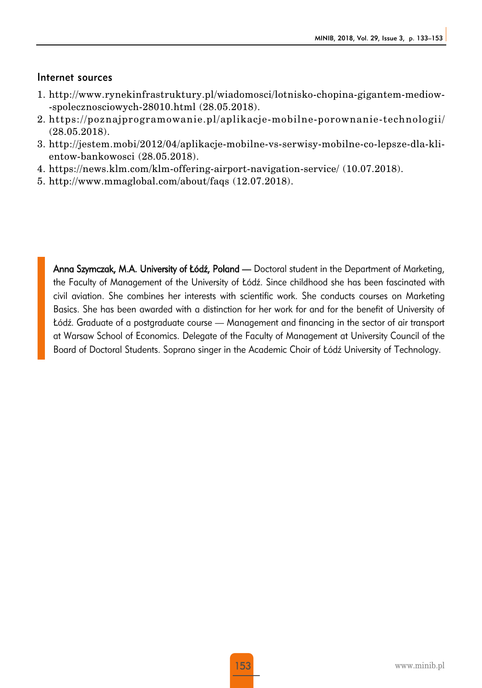#### Internet sources

- 1. http://www.rynekinfrastruktury.pl/wiadomosci/lotnisko-chopina-gigantem-mediow- -spolecznosciowych-28010.html (28.05.2018).
- 2. https://poznajprogramowanie.pl/aplikacje-mobilne-porownanie-technologii/ (28.05.2018).
- 3. http://jestem.mobi/2012/04/aplikacje-mobilne-vs-serwisy-mobilne-co-lepsze-dla-klientow-bankowosci (28.05.2018).
- 4. https://news.klm.com/klm-offering-airport-navigation-service/ (10.07.2018).
- 5. http://www.mmaglobal.com/about/faqs (12.07.2018).

Anna Szymczak, M.A. University of Łódź, Poland — Doctoral student in the Department of Marketing, the Faculty of Management of the University of Łódź. Since childhood she has been fascinated with civil aviation. She combines her interests with scientific work. She conducts courses on Marketing Basics. She has been awarded with a distinction for her work for and for the benefit of University of Łódź. Graduate of a postgraduate course — Management and financing in the sector of air transport at Warsaw School of Economics. Delegate of the Faculty of Management at University Council of the Board of Doctoral Students. Soprano singer in the Academic Choir of Łódź University of Technology.